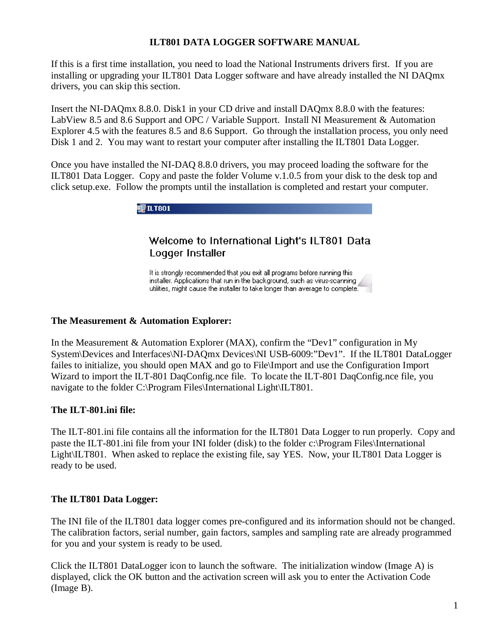## **ILT801 DATA LOGGER SOFTWARE MANUAL**

If this is a first time installation, you need to load the National Instruments drivers first. If you are installing or upgrading your ILT801 Data Logger software and have already installed the NI DAQmx drivers, you can skip this section.

Insert the NI-DAQmx 8.8.0. Disk1 in your CD drive and install DAQmx 8.8.0 with the features: LabView 8.5 and 8.6 Support and OPC / Variable Support. Install NI Measurement & Automation Explorer 4.5 with the features 8.5 and 8.6 Support. Go through the installation process, you only need Disk 1 and 2. You may want to restart your computer after installing the ILT801 Data Logger.

Once you have installed the NI-DAQ 8.8.0 drivers, you may proceed loading the software for the ILT801 Data Logger. Copy and paste the folder Volume v.1.0.5 from your disk to the desk top and click setup.exe. Follow the prompts until the installation is completed and restart your computer.



# Welcome to International Light's ILT801 Data Logger Installer

It is strongly recommended that you exit all programs before running this installer. Applications that run in the background, such as virus-scanning utilities, might cause the installer to take longer than average to complete.

#### **The Measurement & Automation Explorer:**

In the Measurement & Automation Explorer (MAX), confirm the "Dev1" configuration in My System\Devices and Interfaces\NI-DAQmx Devices\NI USB-6009:"Dev1". If the ILT801 DataLogger failes to initialize, you should open MAX and go to File\Import and use the Configuration Import Wizard to import the ILT-801 DaqConfig.nce file. To locate the ILT-801 DaqConfig.nce file, you navigate to the folder C:\Program Files\International Light\ILT801.

## **The ILT-801.ini file:**

The ILT-801.ini file contains all the information for the ILT801 Data Logger to run properly. Copy and paste the ILT-801.ini file from your INI folder (disk) to the folder c:\Program Files\International Light\ILT801. When asked to replace the existing file, say YES. Now, your ILT801 Data Logger is ready to be used.

## **The ILT801 Data Logger:**

The INI file of the ILT801 data logger comes pre-configured and its information should not be changed. The calibration factors, serial number, gain factors, samples and sampling rate are already programmed for you and your system is ready to be used.

Click the ILT801 DataLogger icon to launch the software. The initialization window (Image A) is displayed, click the OK button and the activation screen will ask you to enter the Activation Code (Image B).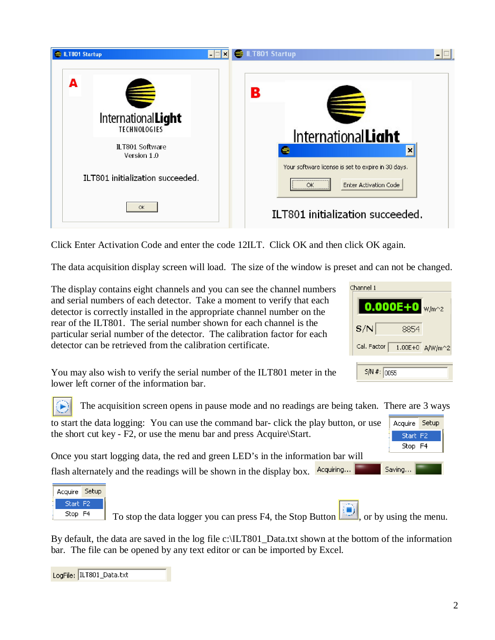

Click Enter Activation Code and enter the code 12ILT. Click OK and then click OK again.

The data acquisition display screen will load. The size of the window is preset and can not be changed.

The display contains eight channels and you can see the channel numbers and serial numbers of each detector. Take a moment to verify that each detector is correctly installed in the appropriate channel number on the rear of the ILT801. The serial number shown for each channel is the particular serial number of the detector. The calibration factor for each detector can be retrieved from the calibration certificate.

Acquire Setup Start<sub>F2</sub> Stop F4

Saving...

You may also wish to verify the serial number of the ILT801 meter in the lower left corner of the information bar.

The acquisition screen opens in pause mode and no readings are being taken. There are 3 ways

| to start the data logging: You can use the command bar-click the play button, or use |  |
|--------------------------------------------------------------------------------------|--|
| the short cut key - F2, or use the menu bar and press Acquire\Start.                 |  |

Once you start logging data, the red and green LED's in the information bar will flash alternately and the readings will be shown in the display box.  $\frac{Acquiring...}{=}$ 



To stop the data logger you can press F4, the Stop Button  $\Box$ , or by using the menu.

By default, the data are saved in the log file c:\ILT801 Data.txt shown at the bottom of the information bar. The file can be opened by any text editor or can be imported by Excel.

| LogFile: ILT801_Data.txt |  |
|--------------------------|--|
|--------------------------|--|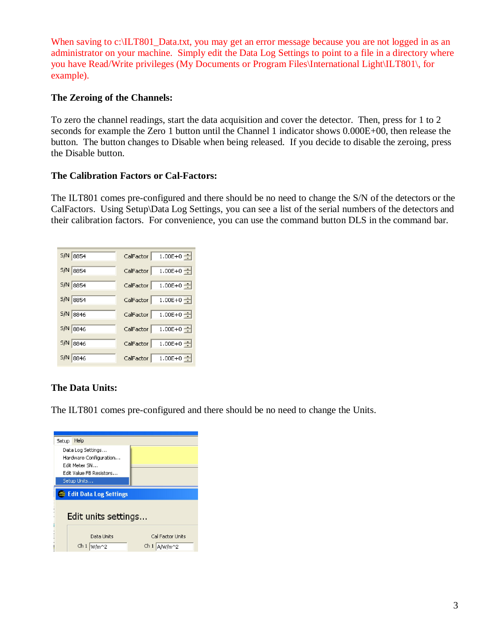When saving to c:\ILT801\_Data.txt, you may get an error message because you are not logged in as an administrator on your machine. Simply edit the Data Log Settings to point to a file in a directory where you have Read/Write privileges (My Documents or Program Files\International Light\ILT801\, for example).

#### **The Zeroing of the Channels:**

To zero the channel readings, start the data acquisition and cover the detector. Then, press for 1 to 2 seconds for example the Zero 1 button until the Channel 1 indicator shows  $0.000E+00$ , then release the button. The button changes to Disable when being released. If you decide to disable the zeroing, press the Disable button.

#### **The Calibration Factors or Cal-Factors:**

The ILT801 comes pre-configured and there should be no need to change the S/N of the detectors or the CalFactors. Using Setup\Data Log Settings, you can see a list of the serial numbers of the detectors and their calibration factors. For convenience, you can use the command button DLS in the command bar.

| $5/N$ 8854 | 1.00E+0 $\pm$<br>CalFactor             |
|------------|----------------------------------------|
| 5/N 8854   | 1.00E+0 $\pm$<br>CalFactor             |
| 5/N 8854   | $1.00E + 0$ $\rightarrow$<br>CalFactor |
| $5/N$ 8854 | 1.00E+0 $\pm$<br>CalFactor             |
| 5/N 8846   | $1.00E + 0$ $\pm$<br>CalFactor         |
| $5/N$ 8846 | CalFactor<br>1.00E+0 $\frac{1}{2}$     |
| 5/N 8846   | 1.00E+0 $\pm$<br>CalFactor             |
| 5/N 8846   | 1.00E+0 $\frac{1}{2}$<br>CalFactor     |

## **The Data Units:**

The ILT801 comes pre-configured and there should be no need to change the Units.

| Setup                           | Help                                                                                                   |                                    |  |
|---------------------------------|--------------------------------------------------------------------------------------------------------|------------------------------------|--|
|                                 | Data Log Settings<br>Hardware Configuration<br>Edit Meher SN<br>Edit Value FB Resistors<br>Setup Units |                                    |  |
| <b>E</b> Edit Data Log Settings |                                                                                                        |                                    |  |
| Edit units settings             |                                                                                                        |                                    |  |
|                                 | Data Linits<br>ch <sub>1</sub><br>W/m^2                                                                | Cal Factor Units<br>Ch1<br>A/W/m^2 |  |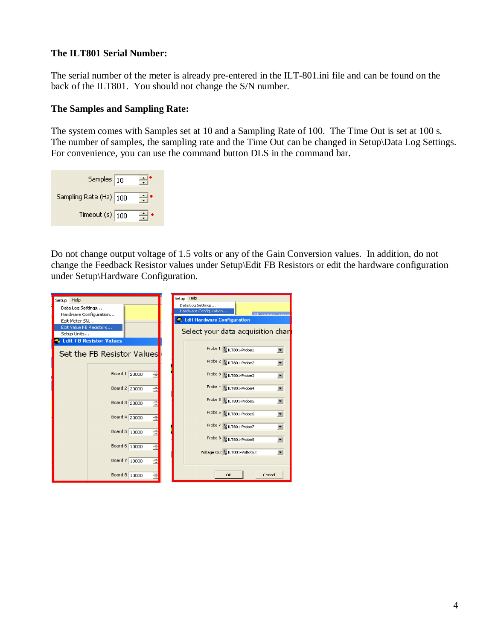#### **The ILT801 Serial Number:**

The serial number of the meter is already pre-entered in the ILT-801.ini file and can be found on the back of the ILT801. You should not change the S/N number.

#### **The Samples and Sampling Rate:**

The system comes with Samples set at 10 and a Sampling Rate of 100. The Time Out is set at 100 s. The number of samples, the sampling rate and the Time Out can be changed in Setup\Data Log Settings. For convenience, you can use the command button DLS in the command bar.

| Samples $\boxed{10}$   |  |
|------------------------|--|
| Sampling Rate (Hz) 100 |  |
| Timeout $(s)$ 100      |  |

Do not change output voltage of 1.5 volts or any of the Gain Conversion values. In addition, do not change the Feedback Resistor values under Setup\Edit FB Resistors or edit the hardware configuration under Setup\Hardware Configuration.

| Help<br>Setup <sup>1</sup>     |   | Help<br>Setup                                |                          |
|--------------------------------|---|----------------------------------------------|--------------------------|
| Data Log Settings              |   | Data Log Settings                            |                          |
| Hardware Configuration         |   | Hardware Configuration<br>miller and company |                          |
| Edit Meter SN                  |   | E Edit Hardware Configuration                |                          |
| Edit Value FB Resistors        |   |                                              |                          |
| Setup Units                    |   | Select your data acquisition char            |                          |
| <b>Edit FB Resistor Values</b> |   |                                              |                          |
|                                |   | Probe $1 \frac{1}{6}$ ILT801-Probe1          | $\blacksquare$           |
| Set the FB Resistor Values     |   |                                              |                          |
|                                |   | Probe $2\frac{1}{6}$ ILT801-Probe2           | $\blacksquare$           |
|                                |   |                                              |                          |
| Board 1 20000                  | ÷ | Probe 3 1/ <sub>6</sub> ILT801-Probe3        | $\blacksquare$           |
|                                |   |                                              |                          |
| Board 2 20000                  | ÷ | Probe $4\frac{1}{6}$ ILT801-Probe4           | $\blacksquare$           |
|                                |   |                                              |                          |
| Board 3 20000                  | ÷ | Probe 5 % ILT801-Probe5                      | $\blacksquare$           |
|                                |   |                                              |                          |
|                                |   | Probe 6 % ILT801-Probe6                      | $\blacksquare$           |
| Board 4 20000                  | ÷ |                                              |                          |
|                                |   | Probe 7 % ILT801-Probe7                      | $\overline{\phantom{a}}$ |
| Board 5 10000                  | ÷ |                                              |                          |
|                                |   | Probe 8 % ILT801-Probe8                      | $\blacksquare$           |
| Board 6 10000                  | Ė |                                              |                          |
|                                |   | Voltage Out % ILT801-VoltsOut                | $\blacksquare$           |
| Board 7 10000                  | ÷ |                                              |                          |
|                                |   |                                              |                          |
| Board 8 10000                  | ÷ | <b>OK</b><br>Cancel                          |                          |
|                                |   |                                              |                          |